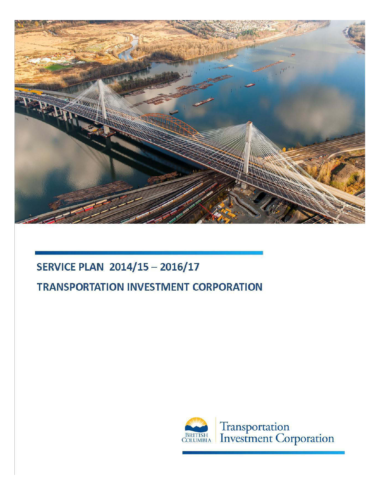

# **SERVICE PLAN 2014/15 - 2016/17**

# **TRANSPORTATION INVESTMENT CORPORATION**

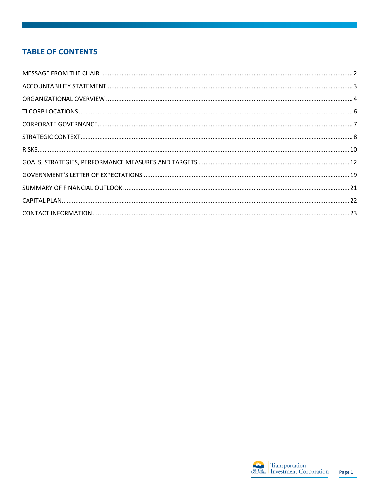# **TABLE OF CONTENTS**

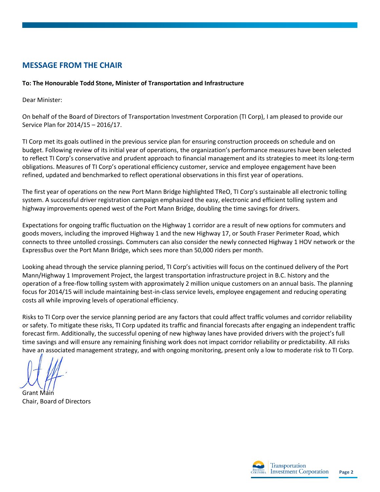# <span id="page-2-0"></span>**MESSAGE FROM THE CHAIR**

## **To: The Honourable Todd Stone, Minister of Transportation and Infrastructure**

Dear Minister:

On behalf of the Board of Directors of Transportation Investment Corporation (TI Corp), I am pleased to provide our Service Plan for 2014/15 – 2016/17.

TI Corp met its goals outlined in the previous service plan for ensuring construction proceeds on schedule and on budget. Following review of its initial year of operations, the organization's performance measures have been selected to reflect TI Corp's conservative and prudent approach to financial management and its strategies to meet its long-term obligations. Measures of TI Corp's operational efficiency customer, service and employee engagement have been refined, updated and benchmarked to reflect operational observations in this first year of operations.

The first year of operations on the new Port Mann Bridge highlighted TReO, TI Corp's sustainable all electronic tolling system. A successful driver registration campaign emphasized the easy, electronic and efficient tolling system and highway improvements opened west of the Port Mann Bridge, doubling the time savings for drivers.

Expectations for ongoing traffic fluctuation on the Highway 1 corridor are a result of new options for commuters and goods movers, including the improved Highway 1 and the new Highway 17, or South Fraser Perimeter Road, which connects to three untolled crossings. Commuters can also consider the newly connected Highway 1 HOV network or the ExpressBus over the Port Mann Bridge, which sees more than 50,000 riders per month.

Looking ahead through the service planning period, TI Corp's activities will focus on the continued delivery of the Port Mann/Highway 1 Improvement Project, the largest transportation infrastructure project in B.C. history and the operation of a free-flow tolling system with approximately 2 million unique customers on an annual basis. The planning focus for 2014/15 will include maintaining best-in-class service levels, employee engagement and reducing operating costs all while improving levels of operational efficiency.

Risks to TI Corp over the service planning period are any factors that could affect traffic volumes and corridor reliability or safety. To mitigate these risks, TI Corp updated its traffic and financial forecasts after engaging an independent traffic forecast firm. Additionally, the successful opening of new highway lanes have provided drivers with the project's full time savings and will ensure any remaining finishing work does not impact corridor reliability or predictability. All risks have an associated management strategy, and with ongoing monitoring, present only a low to moderate risk to TI Corp.

Grant Main Chair, Board of Directors

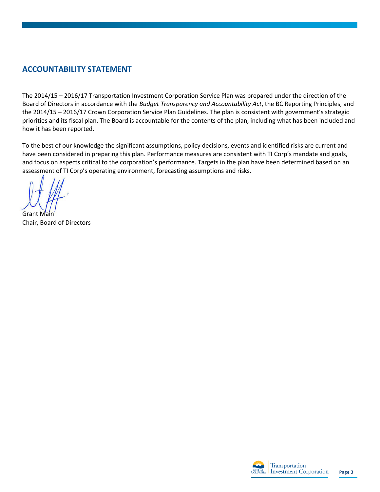# <span id="page-3-0"></span>**ACCOUNTABILITY STATEMENT**

The 2014/15 – 2016/17 Transportation Investment Corporation Service Plan was prepared under the direction of the Board of Directors in accordance with the *Budget Transparency and Accountability Act*, the BC Reporting Principles, and the 2014/15 – 2016/17 Crown Corporation Service Plan Guidelines. The plan is consistent with government's strategic priorities and its fiscal plan. The Board is accountable for the contents of the plan, including what has been included and how it has been reported.

To the best of our knowledge the significant assumptions, policy decisions, events and identified risks are current and have been considered in preparing this plan. Performance measures are consistent with TI Corp's mandate and goals, and focus on aspects critical to the corporation's performance. Targets in the plan have been determined based on an assessment of TI Corp's operating environment, forecasting assumptions and risks.

Grant Main Chair, Board of Directors

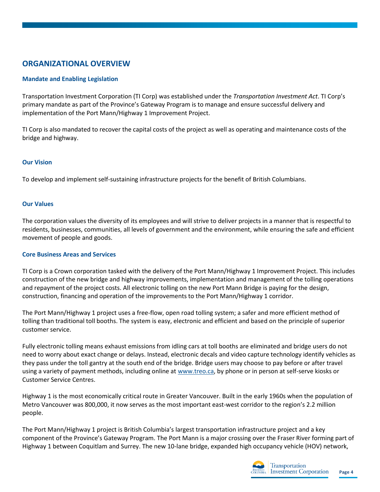# <span id="page-4-0"></span>**ORGANIZATIONAL OVERVIEW**

## **Mandate and Enabling Legislation**

Transportation Investment Corporation (TI Corp) was established under the *Transportation Investment Act*. TI Corp's primary mandate as part of the Province's Gateway Program is to manage and ensure successful delivery and implementation of the Port Mann/Highway 1 Improvement Project.

TI Corp is also mandated to recover the capital costs of the project as well as operating and maintenance costs of the bridge and highway.

#### **Our Vision**

To develop and implement self‐sustaining infrastructure projects for the benefit of British Columbians.

#### **Our Values**

The corporation values the diversity of its employees and will strive to deliver projects in a manner that is respectful to residents, businesses, communities, all levels of government and the environment, while ensuring the safe and efficient movement of people and goods.

#### **Core Business Areas and Services**

TI Corp is a Crown corporation tasked with the delivery of the Port Mann/Highway 1 Improvement Project. This includes construction of the new bridge and highway improvements, implementation and management of the tolling operations and repayment of the project costs. All electronic tolling on the new Port Mann Bridge is paying for the design, construction, financing and operation of the improvements to the Port Mann/Highway 1 corridor.

The Port Mann/Highway 1 project uses a free-flow, open road tolling system; a safer and more efficient method of tolling than traditional toll booths. The system is easy, electronic and efficient and based on the principle of superior customer service.

Fully electronic tolling means exhaust emissions from idling cars at toll booths are eliminated and bridge users do not need to worry about exact change or delays. Instead, electronic decals and video capture technology identify vehicles as they pass under the toll gantry at the south end of the bridge. Bridge users may choose to pay before or after travel using a variety of payment methods, including online a[t www.treo.ca,](http://www.treo.ca/) by phone or in person at self-serve kiosks or Customer Service Centres.

Highway 1 is the most economically critical route in Greater Vancouver. Built in the early 1960s when the population of Metro Vancouver was 800,000, it now serves as the most important east-west corridor to the region's 2.2 million people.

The Port Mann/Highway 1 project is British Columbia's largest transportation infrastructure project and a key component of the Province's Gateway Program. The Port Mann is a major crossing over the Fraser River forming part of Highway 1 between Coquitlam and Surrey. The new 10-lane bridge, expanded high occupancy vehicle (HOV) network,

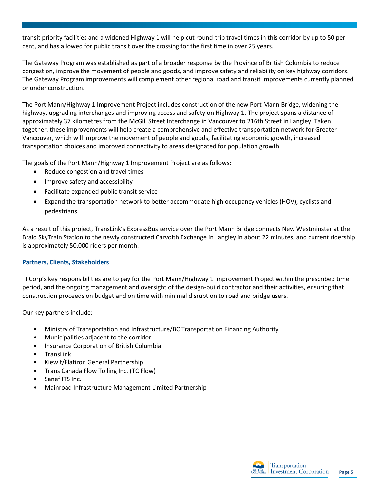transit priority facilities and a widened Highway 1 will help cut round-trip travel times in this corridor by up to 50 per cent, and has allowed for public transit over the crossing for the first time in over 25 years.

The Gateway Program was established as part of a broader response by the Province of British Columbia to reduce congestion, improve the movement of people and goods, and improve safety and reliability on key highway corridors. The Gateway Program improvements will complement other regional road and transit improvements currently planned or under construction.

The Port Mann/Highway 1 Improvement Project includes construction of the new Port Mann Bridge, widening the highway, upgrading interchanges and improving access and safety on Highway 1. The project spans a distance of approximately 37 kilometres from the McGill Street Interchange in Vancouver to 216th Street in Langley. Taken together, these improvements will help create a comprehensive and effective transportation network for Greater Vancouver, which will improve the movement of people and goods, facilitating economic growth, increased transportation choices and improved connectivity to areas designated for population growth.

The goals of the Port Mann/Highway 1 Improvement Project are as follows:

- Reduce congestion and travel times
- Improve safety and accessibility
- Facilitate expanded public transit service
- Expand the transportation network to better accommodate high occupancy vehicles (HOV), cyclists and pedestrians

As a result of this project, TransLink's ExpressBus service over the Port Mann Bridge connects New Westminster at the Braid SkyTrain Station to the newly constructed Carvolth Exchange in Langley in about 22 minutes, and current ridership is approximately 50,000 riders per month.

## **Partners, Clients, Stakeholders**

TI Corp's key responsibilities are to pay for the Port Mann/Highway 1 Improvement Project within the prescribed time period, and the ongoing management and oversight of the design-build contractor and their activities, ensuring that construction proceeds on budget and on time with minimal disruption to road and bridge users.

Our key partners include:

- Ministry of Transportation and Infrastructure/BC Transportation Financing Authority
- Municipalities adjacent to the corridor
- Insurance Corporation of British Columbia
- **TransLink**
- Kiewit/Flatiron General Partnership
- Trans Canada Flow Tolling Inc. (TC Flow)
- Sanef ITS Inc.
- Mainroad Infrastructure Management Limited Partnership

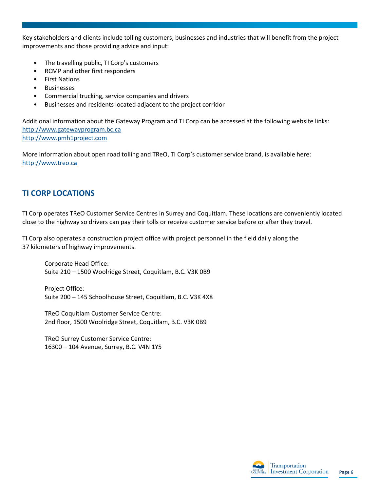Key stakeholders and clients include tolling customers, businesses and industries that will benefit from the project improvements and those providing advice and input:

- The travelling public, TI Corp's customers
- RCMP and other first responders
- **First Nations**
- **Businesses**
- Commercial trucking, service companies and drivers
- Businesses and residents located adjacent to the project corridor

Additional information about the Gateway Program and TI Corp can be accessed at the following website links: [http://www.gatewayprogram.bc.ca](http://www.gatewayprogram.bc.ca/)  [http://www.pmh1project.com](http://www.pmh1project.com/) 

More information about open road tolling and TReO, TI Corp's customer service brand, is available here: [http://www.treo.ca](http://www.treo.ca/)

# <span id="page-6-0"></span>**TI CORP LOCATIONS**

TI Corp operates TReO Customer Service Centres in Surrey and Coquitlam. These locations are conveniently located close to the highway so drivers can pay their tolls or receive customer service before or after they travel.

TI Corp also operates a construction project office with project personnel in the field daily along the 37 kilometers of highway improvements.

Corporate Head Office: Suite 210 – 1500 Woolridge Street, Coquitlam, B.C. V3K 0B9

Project Office: Suite 200 – 145 Schoolhouse Street, Coquitlam, B.C. V3K 4X8

TReO Coquitlam Customer Service Centre: 2nd floor, 1500 Woolridge Street, Coquitlam, B.C. V3K 0B9

TReO Surrey Customer Service Centre: 16300 – 104 Avenue, Surrey, B.C. V4N 1Y5

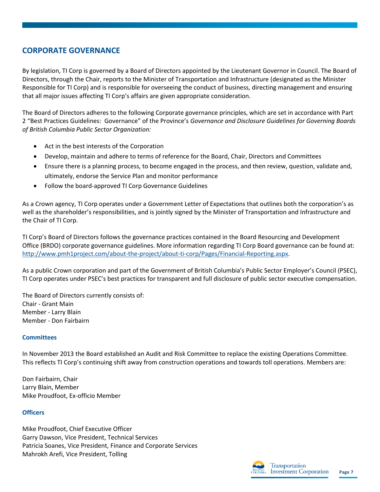# <span id="page-7-0"></span>**CORPORATE GOVERNANCE**

By legislation, TI Corp is governed by a Board of Directors appointed by the Lieutenant Governor in Council. The Board of Directors, through the Chair, reports to the Minister of Transportation and Infrastructure (designated as the Minister Responsible for TI Corp) and is responsible for overseeing the conduct of business, directing management and ensuring that all major issues affecting TI Corp's affairs are given appropriate consideration.

The Board of Directors adheres to the following Corporate governance principles, which are set in accordance with Part 2 "Best Practices Guidelines: Governance" of the Province's *Governance and Disclosure Guidelines for Governing Boards of British Columbia Public Sector Organization:* 

- Act in the best interests of the Corporation
- Develop, maintain and adhere to terms of reference for the Board, Chair, Directors and Committees
- Ensure there is a planning process, to become engaged in the process, and then review, question, validate and, ultimately, endorse the Service Plan and monitor performance
- Follow the board-approved TI Corp Governance Guidelines

As a Crown agency, TI Corp operates under a Government Letter of Expectations that outlines both the corporation's as well as the shareholder's responsibilities, and is jointly signed by the Minister of Transportation and Infrastructure and the Chair of TI Corp.

TI Corp's Board of Directors follows the governance practices contained in the Board Resourcing and Development Office (BRDO) corporate governance guidelines. More information regarding TI Corp Board governance can be found at: [http://www.pmh1project.com/about-the-project/about-ti-corp/Pages/Financial-Reporting.aspx.](http://www.pmh1project.com/about-the-project/about-ti-corp/Pages/Financial-Reporting.aspx)

As a public Crown corporation and part of the Government of British Columbia's Public Sector Employer's Council (PSEC), TI Corp operates under PSEC's best practices for transparent and full disclosure of public sector executive compensation.

The Board of Directors currently consists of: Chair - Grant Main Member - Larry Blain Member - Don Fairbairn

#### **Committees**

In November 2013 the Board established an Audit and Risk Committee to replace the existing Operations Committee. This reflects TI Corp's continuing shift away from construction operations and towards toll operations. Members are:

Don Fairbairn, Chair Larry Blain, Member Mike Proudfoot, Ex-officio Member

#### **Officers**

Mike Proudfoot, Chief Executive Officer Garry Dawson, Vice President, Technical Services Patricia Soanes, Vice President, Finance and Corporate Services Mahrokh Arefi, Vice President, Tolling

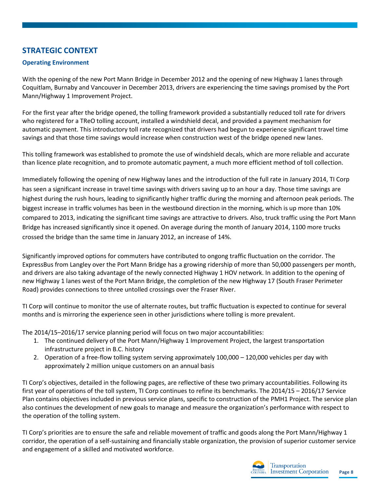# <span id="page-8-0"></span>**STRATEGIC CONTEXT**

## **Operating Environment**

With the opening of the new Port Mann Bridge in December 2012 and the opening of new Highway 1 lanes through Coquitlam, Burnaby and Vancouver in December 2013, drivers are experiencing the time savings promised by the Port Mann/Highway 1 Improvement Project.

For the first year after the bridge opened, the tolling framework provided a substantially reduced toll rate for drivers who registered for a TReO tolling account, installed a windshield decal, and provided a payment mechanism for automatic payment. This introductory toll rate recognized that drivers had begun to experience significant travel time savings and that those time savings would increase when construction west of the bridge opened new lanes.

This tolling framework was established to promote the use of windshield decals, which are more reliable and accurate than licence plate recognition, and to promote automatic payment, a much more efficient method of toll collection.

Immediately following the opening of new Highway lanes and the introduction of the full rate in January 2014, TI Corp has seen a significant increase in travel time savings with drivers saving up to an hour a day. Those time savings are highest during the rush hours, leading to significantly higher traffic during the morning and afternoon peak periods. The biggest increase in traffic volumes has been in the westbound direction in the morning, which is up more than 10% compared to 2013, indicating the significant time savings are attractive to drivers. Also, truck traffic using the Port Mann Bridge has increased significantly since it opened. On average during the month of January 2014, 1100 more trucks crossed the bridge than the same time in January 2012, an increase of 14%.

Significantly improved options for commuters have contributed to ongong traffic fluctuation on the corridor. The ExpressBus from Langley over the Port Mann Bridge has a growing ridership of more than 50,000 passengers per month, and drivers are also taking advantage of the newly connected Highway 1 HOV network. In addition to the opening of new Highway 1 lanes west of the Port Mann Bridge, the completion of the new Highway 17 (South Fraser Perimeter Road) provides connections to three untolled crossings over the Fraser River.

TI Corp will continue to monitor the use of alternate routes, but traffic fluctuation is expected to continue for several months and is mirroring the experience seen in other jurisdictions where tolling is more prevalent.

The 2014/15–2016/17 service planning period will focus on two major accountabilities:

- 1. The continued delivery of the Port Mann/Highway 1 Improvement Project, the largest transportation infrastructure project in B.C. history
- 2. Operation of a free-flow tolling system serving approximately 100,000 120,000 vehicles per day with approximately 2 million unique customers on an annual basis

TI Corp's objectives, detailed in the following pages, are reflective of these two primary accountabilities. Following its first year of operations of the toll system, TI Corp continues to refine its benchmarks. The 2014/15 – 2016/17 Service Plan contains objectives included in previous service plans, specific to construction of the PMH1 Project. The service plan also continues the development of new goals to manage and measure the organization's performance with respect to the operation of the tolling system.

TI Corp's priorities are to ensure the safe and reliable movement of traffic and goods along the Port Mann/Highway 1 corridor, the operation of a self-sustaining and financially stable organization, the provision of superior customer service and engagement of a skilled and motivated workforce.

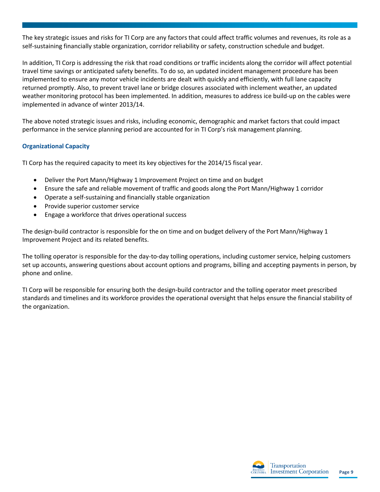The key strategic issues and risks for TI Corp are any factors that could affect traffic volumes and revenues, its role as a self-sustaining financially stable organization, corridor reliability or safety, construction schedule and budget.

In addition, TI Corp is addressing the risk that road conditions or traffic incidents along the corridor will affect potential travel time savings or anticipated safety benefits. To do so, an updated incident management procedure has been implemented to ensure any motor vehicle incidents are dealt with quickly and efficiently, with full lane capacity returned promptly. Also, to prevent travel lane or bridge closures associated with inclement weather, an updated weather monitoring protocol has been implemented. In addition, measures to address ice build-up on the cables were implemented in advance of winter 2013/14.

The above noted strategic issues and risks, including economic, demographic and market factors that could impact performance in the service planning period are accounted for in TI Corp's risk management planning.

## **Organizational Capacity**

TI Corp has the required capacity to meet its key objectives for the 2014/15 fiscal year.

- Deliver the Port Mann/Highway 1 Improvement Project on time and on budget
- Ensure the safe and reliable movement of traffic and goods along the Port Mann/Highway 1 corridor
- Operate a self-sustaining and financially stable organization
- Provide superior customer service
- Engage a workforce that drives operational success

The design-build contractor is responsible for the on time and on budget delivery of the Port Mann/Highway 1 Improvement Project and its related benefits.

The tolling operator is responsible for the day-to-day tolling operations, including customer service, helping customers set up accounts, answering questions about account options and programs, billing and accepting payments in person, by phone and online.

TI Corp will be responsible for ensuring both the design-build contractor and the tolling operator meet prescribed standards and timelines and its workforce provides the operational oversight that helps ensure the financial stability of the organization.

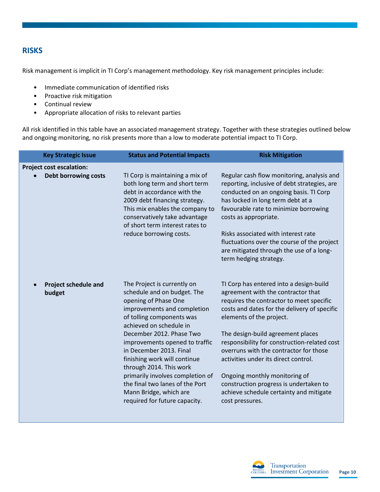# <span id="page-10-0"></span>**RISKS**

Risk management is implicit in TI Corp's management methodology. Key risk management principles include:

- Immediate communication of identified risks
- Proactive risk mitigation
- Continual review
- Appropriate allocation of risks to relevant parties

All risk identified in this table have an associated management strategy. Together with these strategies outlined below and ongoing monitoring, no risk presents more than a low to moderate potential impact to TI Corp.

| <b>Key Strategic Issue</b>            | <b>Status and Potential Impacts</b>                                                                                                                                                                                                     | <b>Risk Mitigation</b>                                                                                                                                                                                                                      |
|---------------------------------------|-----------------------------------------------------------------------------------------------------------------------------------------------------------------------------------------------------------------------------------------|---------------------------------------------------------------------------------------------------------------------------------------------------------------------------------------------------------------------------------------------|
| <b>Project cost escalation:</b>       |                                                                                                                                                                                                                                         |                                                                                                                                                                                                                                             |
| <b>Debt borrowing costs</b>           | TI Corp is maintaining a mix of<br>both long term and short term<br>debt in accordance with the<br>2009 debt financing strategy.<br>This mix enables the company to<br>conservatively take advantage<br>of short term interest rates to | Regular cash flow monitoring, analysis and<br>reporting, inclusive of debt strategies, are<br>conducted on an ongoing basis. TI Corp<br>has locked in long term debt at a<br>favourable rate to minimize borrowing<br>costs as appropriate. |
|                                       | reduce borrowing costs.                                                                                                                                                                                                                 | Risks associated with interest rate<br>fluctuations over the course of the project<br>are mitigated through the use of a long-<br>term hedging strategy.                                                                                    |
| <b>Project schedule and</b><br>budget | The Project is currently on<br>schedule and on budget. The<br>opening of Phase One<br>improvements and completion<br>of tolling components was<br>achieved on schedule in                                                               | TI Corp has entered into a design-build<br>agreement with the contractor that<br>requires the contractor to meet specific<br>costs and dates for the delivery of specific<br>elements of the project.                                       |
|                                       | December 2012. Phase Two<br>improvements opened to traffic<br>in December 2013. Final<br>finishing work will continue<br>through 2014. This work                                                                                        | The design-build agreement places<br>responsibility for construction-related cost<br>overruns with the contractor for those<br>activities under its direct control.                                                                         |
|                                       | primarily involves completion of<br>the final two lanes of the Port<br>Mann Bridge, which are<br>required for future capacity.                                                                                                          | Ongoing monthly monitoring of<br>construction progress is undertaken to<br>achieve schedule certainty and mitigate<br>cost pressures.                                                                                                       |

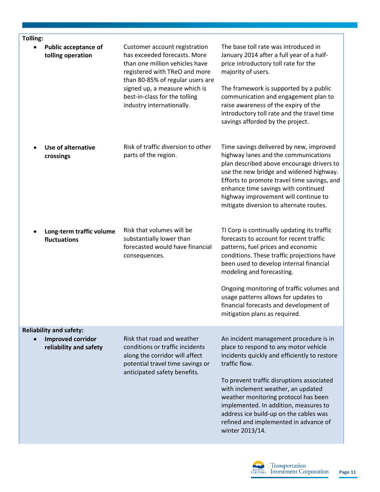| Tolling: |                                                                                      |                                                                                                                                                                                                                                                                     |                                                                                                                                                                                                                                                                                                                                                                                                                            |
|----------|--------------------------------------------------------------------------------------|---------------------------------------------------------------------------------------------------------------------------------------------------------------------------------------------------------------------------------------------------------------------|----------------------------------------------------------------------------------------------------------------------------------------------------------------------------------------------------------------------------------------------------------------------------------------------------------------------------------------------------------------------------------------------------------------------------|
|          | <b>Public acceptance of</b><br>tolling operation                                     | Customer account registration<br>has exceeded forecasts. More<br>than one million vehicles have<br>registered with TReO and more<br>than 80-85% of regular users are<br>signed up, a measure which is<br>best-in-class for the tolling<br>industry internationally. | The base toll rate was introduced in<br>January 2014 after a full year of a half-<br>price introductory toll rate for the<br>majority of users.<br>The framework is supported by a public<br>communication and engagement plan to<br>raise awareness of the expiry of the<br>introductory toll rate and the travel time<br>savings afforded by the project.                                                                |
|          | <b>Use of alternative</b><br>crossings                                               | Risk of traffic diversion to other<br>parts of the region.                                                                                                                                                                                                          | Time savings delivered by new, improved<br>highway lanes and the communications<br>plan described above encourage drivers to<br>use the new bridge and widened highway.<br>Efforts to promote travel time savings, and<br>enhance time savings with continued<br>highway improvement will continue to<br>mitigate diversion to alternate routes.                                                                           |
|          | Long-term traffic volume<br>fluctuations                                             | Risk that volumes will be<br>substantially lower than<br>forecasted would have financial<br>consequences.                                                                                                                                                           | TI Corp is continually updating its traffic<br>forecasts to account for recent traffic<br>patterns, fuel prices and economic<br>conditions. These traffic projections have<br>been used to develop internal financial<br>modeling and forecasting.<br>Ongoing monitoring of traffic volumes and<br>usage patterns allows for updates to<br>financial forecasts and development of<br>mitigation plans as required.         |
|          | <b>Reliability and safety:</b><br><b>Improved corridor</b><br>reliability and safety | Risk that road and weather<br>conditions or traffic incidents<br>along the corridor will affect<br>potential travel time savings or<br>anticipated safety benefits.                                                                                                 | An incident management procedure is in<br>place to respond to any motor vehicle<br>incidents quickly and efficiently to restore<br>traffic flow.<br>To prevent traffic disruptions associated<br>with inclement weather, an updated<br>weather monitoring protocol has been<br>implemented. In addition, measures to<br>address ice build-up on the cables was<br>refined and implemented in advance of<br>winter 2013/14. |

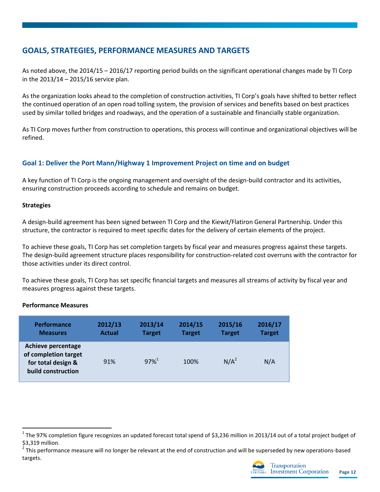# <span id="page-12-0"></span>**GOALS, STRATEGIES, PERFORMANCE MEASURES AND TARGETS**

As noted above, the 2014/15 – 2016/17 reporting period builds on the significant operational changes made by TI Corp in the 2013/14 – 2015/16 service plan.

As the organization looks ahead to the completion of construction activities, TI Corp's goals have shifted to better reflect the continued operation of an open road tolling system, the provision of services and benefits based on best practices used by similar tolled bridges and roadways, and the operation of a sustainable and financially stable organization.

As TI Corp moves further from construction to operations, this process will continue and organizational objectives will be refined.

## **Goal 1: Deliver the Port Mann/Highway 1 Improvement Project on time and on budget**

A key function of TI Corp is the ongoing management and oversight of the design-build contractor and its activities, ensuring construction proceeds according to schedule and remains on budget.

## **Strategies**

A design-build agreement has been signed between TI Corp and the Kiewit/Flatiron General Partnership. Under this structure, the contractor is required to meet specific dates for the delivery of certain elements of the project.

To achieve these goals, TI Corp has set completion targets by fiscal year and measures progress against these targets. The design-build agreement structure places responsibility for construction-related cost overruns with the contractor for those activities under its direct control.

To achieve these goals, TI Corp has set specific financial targets and measures all streams of activity by fiscal year and measures progress against these targets.

#### **Performance Measures**

 $\overline{a}$ 

| <b>Performance</b>                                                                            | 2012/13       | 2013/14             | 2014/15       | 2015/16       | 2016/17       |
|-----------------------------------------------------------------------------------------------|---------------|---------------------|---------------|---------------|---------------|
| <b>Measures</b>                                                                               | <b>Actual</b> | <b>Target</b>       | <b>Target</b> | <b>Target</b> | <b>Target</b> |
| <b>Achieve percentage</b><br>of completion target<br>for total design &<br>build construction | 91%           | $97\%$ <sup>1</sup> | 100%          | $N/A^2$       | N/A           |

 $^1$  The 97% completion figure recognizes an updated forecast total spend of \$3,236 million in 2013/14 out of a total project budget of \$3,319 million.

<sup>2</sup> This performance measure will no longer be relevant at the end of construction and will be superseded by new operations-based targets.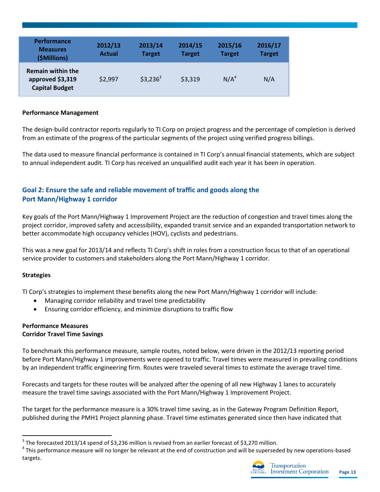| <b>Performance</b><br><b>Measures</b><br>(\$Millions)                 | 2012/13<br><b>Actual</b> | 2013/14<br><b>Target</b> | 2014/15<br><b>Target</b> | 2015/16<br><b>Target</b> | 2016/17<br><b>Target</b> |
|-----------------------------------------------------------------------|--------------------------|--------------------------|--------------------------|--------------------------|--------------------------|
| <b>Remain within the</b><br>approved \$3,319<br><b>Capital Budget</b> | \$2,997                  | $$3,236^3$               | \$3,319                  | N/A <sup>4</sup>         | N/A                      |

#### **Performance Management**

The design-build contractor reports regularly to TI Corp on project progress and the percentage of completion is derived from an estimate of the progress of the particular segments of the project using verified progress billings.

The data used to measure financial performance is contained in TI Corp's annual financial statements, which are subject to annual independent audit. TI Corp has received an unqualified audit each year it has been in operation.

## **Goal 2: Ensure the safe and reliable movement of traffic and goods along the Port Mann/Highway 1 corridor**

Key goals of the Port Mann/Highway 1 Improvement Project are the reduction of congestion and travel times along the project corridor, improved safety and accessibility, expanded transit service and an expanded transportation network to better accommodate high occupancy vehicles (HOV), cyclists and pedestrians.

This was a new goal for 2013/14 and reflects TI Corp's shift in roles from a construction focus to that of an operational service provider to customers and stakeholders along the Port Mann/Highway 1 corridor.

#### **Strategies**

 $\overline{\phantom{a}}$ 

TI Corp's strategies to implement these benefits along the new Port Mann/Highway 1 corridor will include:

- Managing corridor reliability and travel time predictability
- Ensuring corridor efficiency, and minimize disruptions to traffic flow

#### **Performance Measures Corridor Travel Time Savings**

To benchmark this performance measure, sample routes, noted below, were driven in the 2012/13 reporting period before Port Mann/Highway 1 improvements were opened to traffic. Travel times were measured in prevailing conditions by an independent traffic engineering firm. Routes were traveled several times to estimate the average travel time.

Forecasts and targets for these routes will be analyzed after the opening of all new Highway 1 lanes to accurately measure the travel time savings associated with the Port Mann/Highway 1 Improvement Project.

The target for the performance measure is a 30% travel time saving, as in the Gateway Program Definition Report, published during the PMH1 Project planning phase. Travel time estimates generated since then have indicated that

 $3$  The forecasted 2013/14 spend of \$3,236 million is revised from an earlier forecast of \$3,270 million.

<sup>&</sup>lt;sup>4</sup> This performance measure will no longer be relevant at the end of construction and will be superseded by new operations-based targets.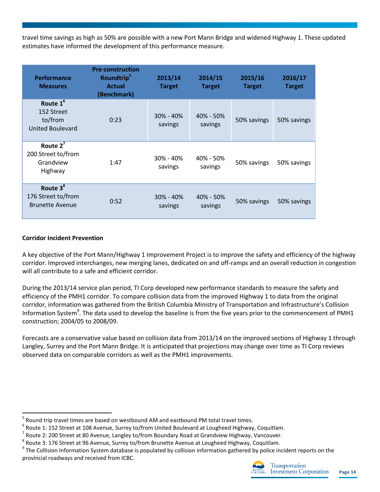travel time savings as high as 50% are possible with a new Port Mann Bridge and widened Highway 1. These updated estimates have informed the development of this performance measure.

| <b>Performance</b><br><b>Measures</b>                                    | <b>Pre-construction</b><br>Roundtrip <sup>5</sup><br><b>Actual</b><br>(Benchmark) | 2013/14<br><b>Target</b> | 2014/15<br><b>Target</b> | 2015/16<br><b>Target</b> | 2016/17<br><b>Target</b> |
|--------------------------------------------------------------------------|-----------------------------------------------------------------------------------|--------------------------|--------------------------|--------------------------|--------------------------|
| Route 1 <sup>6</sup><br>152 Street<br>to/from<br><b>United Boulevard</b> | 0:23                                                                              | $30\% - 40\%$<br>savings | $40\% - 50\%$<br>savings | 50% savings              | 50% savings              |
| Route $2^7$<br>200 Street to/from<br>Grandview<br>Highway                | 1:47                                                                              | 30% - 40%<br>savings     | 40% - 50%<br>savings     | 50% savings              | 50% savings              |
| Route 3 <sup>8</sup><br>176 Street to/from<br><b>Brunette Avenue</b>     | 0:52                                                                              | $30\% - 40\%$<br>savings | $40\% - 50\%$<br>savings | 50% savings              | 50% savings              |

## **Corridor Incident Prevention**

 $\overline{a}$ 

A key objective of the Port Mann/Highway 1 Improvement Project is to improve the safety and efficiency of the highway corridor. Improved interchanges, new merging lanes, dedicated on and off-ramps and an overall reduction in congestion will all contribute to a safe and efficient corridor.

During the 2013/14 service plan period, TI Corp developed new performance standards to measure the safety and efficiency of the PMH1 corridor. To compare collision data from the improved Highway 1 to data from the original corridor, information was gathered from the British Columbia Ministry of Transportation and Infrastructure's Collision Information System<sup>9</sup>. The data used to develop the baseline is from the five years prior to the commencement of PMH1 construction; 2004/05 to 2008/09.

Forecasts are a conservative value based on collision data from 2013/14 on the improved sections of Highway 1 through Langley, Surrey and the Port Mann Bridge. It is anticipated that projections may change over time as TI Corp reviews observed data on comparable corridors as well as the PMH1 improvements.

<sup>5</sup> Round trip travel times are based on westbound AM and eastbound PM total travel times.

 $^6$  Route 1: 152 Street at 108 Avenue, Surrey to/from United Boulevard at Lougheed Highway, Coquitlam.

<sup>7</sup> Route 2: 200 Street at 80 Avenue, Langley to/from Boundary Road at Grandview Highway, Vancouver.

 $^8$  Route 3: 176 Street at 96 Avenue, Surrey to/from Brunette Avenue at Lougheed Highway, Coquitlam.

<sup>&</sup>lt;sup>9</sup> The Collision Information System database is populated by collision information gathered by police incident reports on the provincial roadways and received from ICBC.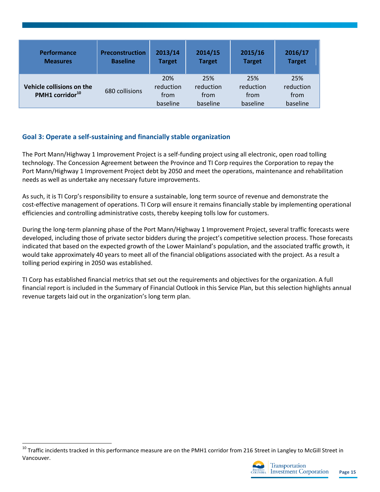| <b>Performance</b>                                       | <b>Preconstruction</b> | 2013/14                              | 2014/15                              | 2015/16                              | 2016/17                              |
|----------------------------------------------------------|------------------------|--------------------------------------|--------------------------------------|--------------------------------------|--------------------------------------|
| <b>Measures</b>                                          | <b>Baseline</b>        | <b>Target</b>                        | <b>Target</b>                        | <b>Target</b>                        | <b>Target</b>                        |
| Vehicle collisions on the<br>PMH1 corridor <sup>10</sup> | 680 collisions         | 20%<br>reduction<br>from<br>baseline | 25%<br>reduction<br>from<br>baseline | 25%<br>reduction<br>from<br>baseline | 25%<br>reduction<br>from<br>baseline |

## **Goal 3: Operate a self-sustaining and financially stable organization**

The Port Mann/Highway 1 Improvement Project is a self-funding project using all electronic, open road tolling technology. The Concession Agreement between the Province and TI Corp requires the Corporation to repay the Port Mann/Highway 1 Improvement Project debt by 2050 and meet the operations, maintenance and rehabilitation needs as well as undertake any necessary future improvements.

As such, it is TI Corp's responsibility to ensure a sustainable, long term source of revenue and demonstrate the cost-effective management of operations. TI Corp will ensure it remains financially stable by implementing operational efficiencies and controlling administrative costs, thereby keeping tolls low for customers.

During the long-term planning phase of the Port Mann/Highway 1 Improvement Project, several traffic forecasts were developed, including those of private sector bidders during the project's competitive selection process. Those forecasts indicated that based on the expected growth of the Lower Mainland's population, and the associated traffic growth, it would take approximately 40 years to meet all of the financial obligations associated with the project. As a result a tolling period expiring in 2050 was established.

TI Corp has established financial metrics that set out the requirements and objectives for the organization. A full financial report is included in the Summary of Financial Outlook in this Service Plan, but this selection highlights annual revenue targets laid out in the organization's long term plan.

l



<sup>&</sup>lt;sup>10</sup> Traffic incidents tracked in this performance measure are on the PMH1 corridor from 216 Street in Langley to McGill Street in Vancouver.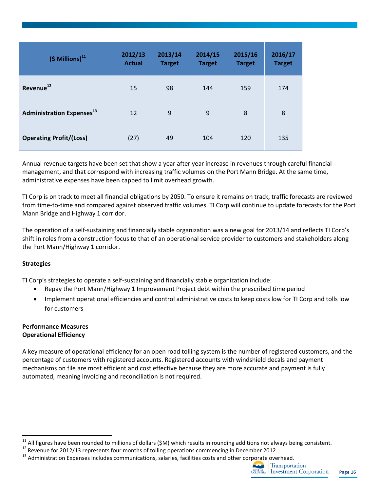| $(5$ Millions) <sup>11</sup>                 | 2012/13<br><b>Actual</b> | 2013/14<br><b>Target</b> | 2014/15<br><b>Target</b> | 2015/16<br><b>Target</b> | 2016/17<br><b>Target</b> |
|----------------------------------------------|--------------------------|--------------------------|--------------------------|--------------------------|--------------------------|
| Revenue <sup>12</sup>                        | 15                       | 98                       | 144                      | 159                      | 174                      |
| <b>Administration Expenses</b> <sup>13</sup> | 12                       | 9                        | 9                        | 8                        | 8                        |
| <b>Operating Profit/(Loss)</b>               | (27)                     | 49                       | 104                      | 120                      | 135                      |

Annual revenue targets have been set that show a year after year increase in revenues through careful financial management, and that correspond with increasing traffic volumes on the Port Mann Bridge. At the same time, administrative expenses have been capped to limit overhead growth.

TI Corp is on track to meet all financial obligations by 2050. To ensure it remains on track, traffic forecasts are reviewed from time-to-time and compared against observed traffic volumes. TI Corp will continue to update forecasts for the Port Mann Bridge and Highway 1 corridor.

The operation of a self-sustaining and financially stable organization was a new goal for 2013/14 and reflects TI Corp's shift in roles from a construction focus to that of an operational service provider to customers and stakeholders along the Port Mann/Highway 1 corridor.

## **Strategies**

 $\overline{\phantom{a}}$ 

TI Corp's strategies to operate a self-sustaining and financially stable organization include:

- Repay the Port Mann/Highway 1 Improvement Project debt within the prescribed time period
- Implement operational efficiencies and control administrative costs to keep costs low for TI Corp and tolls low for customers

## **Performance Measures Operational Efficiency**

A key measure of operational efficiency for an open road tolling system is the number of registered customers, and the percentage of customers with registered accounts. Registered accounts with windshield decals and payment mechanisms on file are most efficient and cost effective because they are more accurate and payment is fully automated, meaning invoicing and reconciliation is not required.

<sup>&</sup>lt;sup>13</sup> Administration Expenses includes communications, salaries, facilities costs and other corporate overhead.



 $11$  All figures have been rounded to millions of dollars (\$M) which results in rounding additions not always being consistent.

<sup>&</sup>lt;sup>12</sup> Revenue for 2012/13 represents four months of tolling operations commencing in December 2012.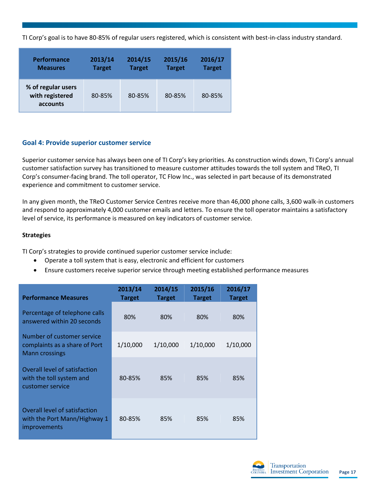TI Corp's goal is to have 80-85% of regular users registered, which is consistent with best-in-class industry standard.

| <b>Performance</b>                                | 2013/14       | 2014/15       | 2015/16       | 2016/17       |
|---------------------------------------------------|---------------|---------------|---------------|---------------|
| <b>Measures</b>                                   | <b>Target</b> | <b>Target</b> | <b>Target</b> | <b>Target</b> |
| % of regular users<br>with registered<br>accounts | 80-85%        | 80-85%        | 80-85%        | 80-85%        |

## **Goal 4: Provide superior customer service**

Superior customer service has always been one of TI Corp's key priorities. As construction winds down, TI Corp's annual customer satisfaction survey has transitioned to measure customer attitudes towards the toll system and TReO, TI Corp's consumer-facing brand. The toll operator, TC Flow Inc., was selected in part because of its demonstrated experience and commitment to customer service.

In any given month, the TReO Customer Service Centres receive more than 46,000 phone calls, 3,600 walk-in customers and respond to approximately 4,000 customer emails and letters. To ensure the toll operator maintains a satisfactory level of service, its performance is measured on key indicators of customer service.

#### **Strategies**

TI Corp's strategies to provide continued superior customer service include:

- Operate a toll system that is easy, electronic and efficient for customers
- Ensure customers receive superior service through meeting established performance measures

| <b>Performance Measures</b>                                                          | 2013/14<br><b>Target</b> | 2014/15<br><b>Target</b> | 2015/16<br><b>Target</b> | 2016/17<br><b>Target</b> |
|--------------------------------------------------------------------------------------|--------------------------|--------------------------|--------------------------|--------------------------|
| Percentage of telephone calls<br>answered within 20 seconds                          | 80%                      | 80%                      | 80%                      | 80%                      |
| Number of customer service<br>complaints as a share of Port<br><b>Mann crossings</b> | 1/10,000                 | 1/10,000                 | 1/10,000                 | 1/10,000                 |
| Overall level of satisfaction<br>with the toll system and<br>customer service        | 80-85%                   | 85%                      | 85%                      | 85%                      |
| Overall level of satisfaction<br>with the Port Mann/Highway 1<br><i>improvements</i> | 80-85%                   | 85%                      | 85%                      | 85%                      |

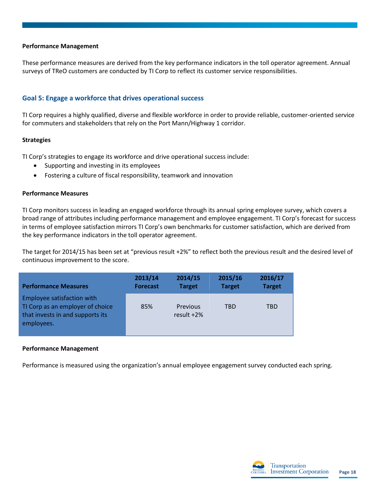#### **Performance Management**

These performance measures are derived from the key performance indicators in the toll operator agreement. Annual surveys of TReO customers are conducted by TI Corp to reflect its customer service responsibilities.

#### **Goal 5: Engage a workforce that drives operational success**

TI Corp requires a highly qualified, diverse and flexible workforce in order to provide reliable, customer-oriented service for commuters and stakeholders that rely on the Port Mann/Highway 1 corridor.

#### **Strategies**

TI Corp's strategies to engage its workforce and drive operational success include:

- Supporting and investing in its employees
- Fostering a culture of fiscal responsibility, teamwork and innovation

#### **Performance Measures**

TI Corp monitors success in leading an engaged workforce through its annual spring employee survey, which covers a broad range of attributes including performance management and employee engagement. TI Corp's forecast for success in terms of employee satisfaction mirrors TI Corp's own benchmarks for customer satisfaction, which are derived from the key performance indicators in the toll operator agreement.

The target for 2014/15 has been set at "previous result +2%" to reflect both the previous result and the desired level of continuous improvement to the score.

| <b>Performance Measures</b>                                                                                      | 2013/14         | 2014/15                   | 2015/16       | 2016/17       |
|------------------------------------------------------------------------------------------------------------------|-----------------|---------------------------|---------------|---------------|
|                                                                                                                  | <b>Forecast</b> | <b>Target</b>             | <b>Target</b> | <b>Target</b> |
| Employee satisfaction with<br>TI Corp as an employer of choice<br>that invests in and supports its<br>employees. | 85%             | Previous<br>result $+2\%$ | TBD           | TBD           |

#### **Performance Management**

Performance is measured using the organization's annual employee engagement survey conducted each spring.

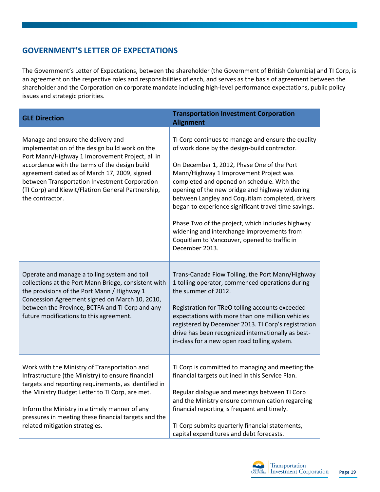# <span id="page-19-0"></span>**GOVERNMENT'S LETTER OF EXPECTATIONS**

The Government's Letter of Expectations, between the shareholder (the Government of British Columbia) and TI Corp, is an agreement on the respective roles and responsibilities of each, and serves as the basis of agreement between the shareholder and the Corporation on corporate mandate including high-level performance expectations, public policy issues and strategic priorities.

| <b>GLE Direction</b>                                                                                                                                                                                                                                                                                                                                               | <b>Transportation Investment Corporation</b><br><b>Alignment</b>                                                                                                                                                                                                                                                                                                                                                                                                                                                                                                           |
|--------------------------------------------------------------------------------------------------------------------------------------------------------------------------------------------------------------------------------------------------------------------------------------------------------------------------------------------------------------------|----------------------------------------------------------------------------------------------------------------------------------------------------------------------------------------------------------------------------------------------------------------------------------------------------------------------------------------------------------------------------------------------------------------------------------------------------------------------------------------------------------------------------------------------------------------------------|
| Manage and ensure the delivery and<br>implementation of the design build work on the<br>Port Mann/Highway 1 Improvement Project, all in<br>accordance with the terms of the design build<br>agreement dated as of March 17, 2009, signed<br>between Transportation Investment Corporation<br>(TI Corp) and Kiewit/Flatiron General Partnership,<br>the contractor. | TI Corp continues to manage and ensure the quality<br>of work done by the design-build contractor.<br>On December 1, 2012, Phase One of the Port<br>Mann/Highway 1 Improvement Project was<br>completed and opened on schedule. With the<br>opening of the new bridge and highway widening<br>between Langley and Coquitlam completed, drivers<br>began to experience significant travel time savings.<br>Phase Two of the project, which includes highway<br>widening and interchange improvements from<br>Coquitlam to Vancouver, opened to traffic in<br>December 2013. |
| Operate and manage a tolling system and toll<br>collections at the Port Mann Bridge, consistent with<br>the provisions of the Port Mann / Highway 1<br>Concession Agreement signed on March 10, 2010,<br>between the Province, BCTFA and TI Corp and any<br>future modifications to this agreement.                                                                | Trans-Canada Flow Tolling, the Port Mann/Highway<br>1 tolling operator, commenced operations during<br>the summer of 2012.<br>Registration for TReO tolling accounts exceeded<br>expectations with more than one million vehicles<br>registered by December 2013. TI Corp's registration<br>drive has been recognized internationally as best-<br>in-class for a new open road tolling system.                                                                                                                                                                             |
| Work with the Ministry of Transportation and<br>Infrastructure (the Ministry) to ensure financial<br>targets and reporting requirements, as identified in<br>the Ministry Budget Letter to TI Corp, are met.<br>Inform the Ministry in a timely manner of any<br>pressures in meeting these financial targets and the<br>related mitigation strategies.            | TI Corp is committed to managing and meeting the<br>financial targets outlined in this Service Plan.<br>Regular dialogue and meetings between TI Corp<br>and the Ministry ensure communication regarding<br>financial reporting is frequent and timely.<br>TI Corp submits quarterly financial statements,<br>capital expenditures and debt forecasts.                                                                                                                                                                                                                     |

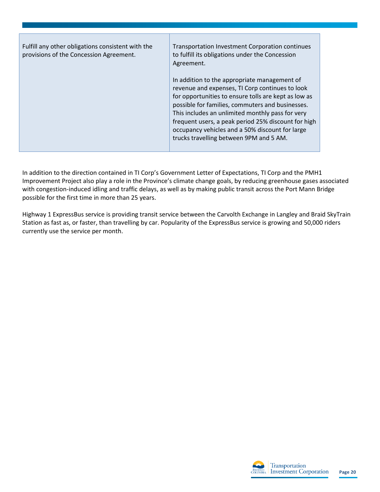| Fulfill any other obligations consistent with the<br>provisions of the Concession Agreement. | Transportation Investment Corporation continues<br>to fulfill its obligations under the Concession<br>Agreement.                                                                                                                                                                                                                                                                                                     |  |  |  |
|----------------------------------------------------------------------------------------------|----------------------------------------------------------------------------------------------------------------------------------------------------------------------------------------------------------------------------------------------------------------------------------------------------------------------------------------------------------------------------------------------------------------------|--|--|--|
|                                                                                              | In addition to the appropriate management of<br>revenue and expenses, TI Corp continues to look<br>for opportunities to ensure tolls are kept as low as<br>possible for families, commuters and businesses.<br>This includes an unlimited monthly pass for very<br>frequent users, a peak period 25% discount for high<br>occupancy vehicles and a 50% discount for large<br>trucks travelling between 9PM and 5 AM. |  |  |  |

In addition to the direction contained in TI Corp's Government Letter of Expectations, TI Corp and the PMH1 Improvement Project also play a role in the Province's climate change goals, by reducing greenhouse gases associated with congestion-induced idling and traffic delays, as well as by making public transit across the Port Mann Bridge possible for the first time in more than 25 years.

Highway 1 ExpressBus service is providing transit service between the Carvolth Exchange in Langley and Braid SkyTrain Station as fast as, or faster, than travelling by car. Popularity of the ExpressBus service is growing and 50,000 riders currently use the service per month.

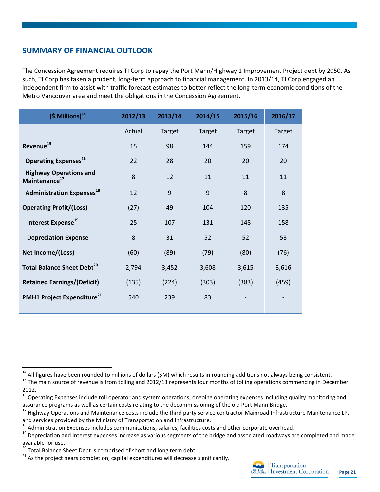# <span id="page-21-0"></span>**SUMMARY OF FINANCIAL OUTLOOK**

The Concession Agreement requires TI Corp to repay the Port Mann/Highway 1 Improvement Project debt by 2050. As such, TI Corp has taken a prudent, long-term approach to financial management. In 2013/14, TI Corp engaged an independent firm to assist with traffic forecast estimates to better reflect the long-term economic conditions of the Metro Vancouver area and meet the obligations in the Concession Agreement.

| $(5$ Millions) <sup>14</sup>                               | 2012/13 | 2013/14 | 2014/15       | 2015/16 | 2016/17       |
|------------------------------------------------------------|---------|---------|---------------|---------|---------------|
|                                                            | Actual  | Target  | <b>Target</b> | Target  | <b>Target</b> |
| Revenue <sup>15</sup>                                      | 15      | 98      | 144           | 159     | 174           |
| Operating Expenses <sup>16</sup>                           | 22      | 28      | 20            | 20      | 20            |
| <b>Highway Operations and</b><br>Maintenance <sup>17</sup> | 8       | 12      | 11            | 11      | 11            |
| <b>Administration Expenses</b> <sup>18</sup>               | 12      | 9       | 9             | 8       | 8             |
| <b>Operating Profit/(Loss)</b>                             | (27)    | 49      | 104           | 120     | 135           |
| Interest Expense <sup>19</sup>                             | 25      | 107     | 131           | 148     | 158           |
| <b>Depreciation Expense</b>                                | 8       | 31      | 52            | 52      | 53            |
| Net Income/(Loss)                                          | (60)    | (89)    | (79)          | (80)    | (76)          |
| <b>Total Balance Sheet Debt<sup>20</sup></b>               | 2,794   | 3,452   | 3,608         | 3,615   | 3,616         |
| <b>Retained Earnings/(Deficit)</b>                         | (135)   | (224)   | (303)         | (383)   | (459)         |
| PMH1 Project Expenditure <sup>21</sup>                     | 540     | 239     | 83            |         |               |

 $\overline{\phantom{a}}$ 

 $21$  As the project nears completion, capital expenditures will decrease significantly.



 $14$  All figures have been rounded to millions of dollars (SM) which results in rounding additions not always being consistent.

<sup>&</sup>lt;sup>15</sup> The main source of revenue is from tolling and 2012/13 represents four months of tolling operations commencing in December 2012.

<sup>&</sup>lt;sup>16</sup> Operating Expenses include toll operator and system operations, ongoing operating expenses including quality monitoring and assurance programs as well as certain costs relating to the decommissioning of the old Port Mann Bridge.

<sup>&</sup>lt;sup>17</sup> Highway Operations and Maintenance costs include the third party service contractor Mainroad Infrastructure Maintenance LP, and services provided by the Ministry of Transportation and Infrastructure.

 $18$  Administration Expenses includes communications, salaries, facilities costs and other corporate overhead.

<sup>&</sup>lt;sup>19</sup> Depreciation and Interest expenses increase as various segments of the bridge and associated roadways are completed and made available for use.

<sup>20</sup> Total Balance Sheet Debt is comprised of short and long term debt.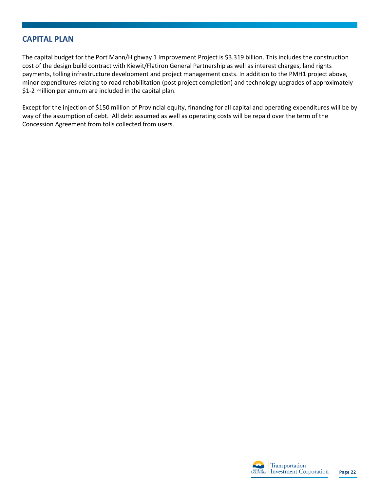## <span id="page-22-0"></span>**CAPITAL PLAN**

The capital budget for the Port Mann/Highway 1 Improvement Project is \$3.319 billion. This includes the construction cost of the design build contract with Kiewit/Flatiron General Partnership as well as interest charges, land rights payments, tolling infrastructure development and project management costs. In addition to the PMH1 project above, minor expenditures relating to road rehabilitation (post project completion) and technology upgrades of approximately \$1-2 million per annum are included in the capital plan.

Except for the injection of \$150 million of Provincial equity, financing for all capital and operating expenditures will be by way of the assumption of debt. All debt assumed as well as operating costs will be repaid over the term of the Concession Agreement from tolls collected from users.